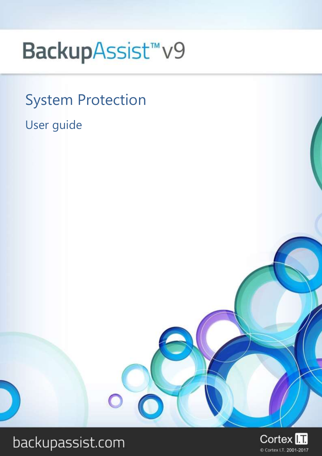# BackupAssist<sup>™</sup>v9

## System Protection

User guide



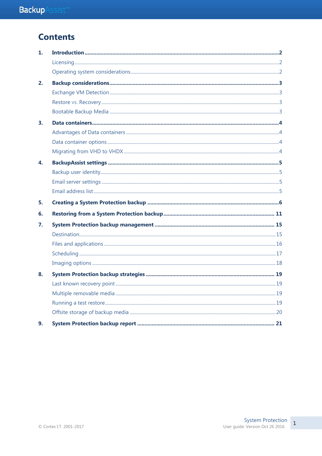## **Contents**

| 1.                        |  |
|---------------------------|--|
|                           |  |
|                           |  |
| 2.                        |  |
|                           |  |
|                           |  |
|                           |  |
| $\overline{\mathbf{3}}$ . |  |
|                           |  |
|                           |  |
|                           |  |
| 4.                        |  |
|                           |  |
|                           |  |
|                           |  |
| 5.                        |  |
| 6.                        |  |
| 7.                        |  |
|                           |  |
|                           |  |
|                           |  |
|                           |  |
| 8.                        |  |
|                           |  |
|                           |  |
|                           |  |
|                           |  |
| 9.                        |  |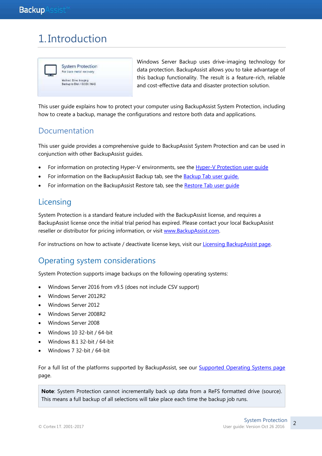## 1. Introduction



Windows Server Backup uses drive-imaging technology for data protection. BackupAssist allows you to take advantage of this backup functionality. The result is a feature-rich, reliable and cost-effective data and disaster protection solution.

This user guide explains how to protect your computer using BackupAssist System Protection, including how to create a backup, manage the configurations and restore both data and applications.

## Documentation

This user guide provides a comprehensive guide to BackupAssist System Protection and can be used in conjunction with other BackupAssist guides.

- For information on protecting Hyper-V environments, see the [Hyper-V Protection user guide](http://www.backupassist.com/education/v9/backupassist/hyper-v-protection-guide.html)
- For information on the BackupAssist Backup tab, see the [Backup Tab user guide.](http://www.backupassist.com/education/v9/backupassist/backup-tab-guide.html)
- For information on the BackupAssist Restore tab, see the [Restore Tab user guide](http://www.backupassist.com/education/v9/backupassist/restore-tab-guide.html)

## Licensing

System Protection is a standard feature included with the BackupAssist license, and requires a BackupAssist license once the initial trial period has expired. Please contact your local BackupAssist reseller or distributor for pricing information, or visit [www.BackupAssist.com.](http://www.backupassist.com/)

For instructions on how to activate / deactivate license keys, visit our [Licensing BackupAssist page.](http://www.backupassist.com/education/v9/backupassist/backupassist-licensing-guide.html)

## Operating system considerations

System Protection supports image backups on the following operating systems:

- Windows Server 2016 from v9.5 (does not include CSV support)
- Windows Server 2012R2
- Windows Server 2012
- Windows Server 2008R2
- Windows Server 2008
- Windows 10 32-bit / 64-bit
- Windows 8.1 32-bit / 64-bit
- Windows 7 32-bit / 64-bit

For a full list of the platforms supported by BackupAssist, see our [Supported Operating Systems page](http://www.backupassist.com/education/resources/supported-operating-systems.html) page.

**Note**: System Protection cannot incrementally back up data from a ReFS formatted drive (source). This means a full backup of all selections will take place each time the backup job runs.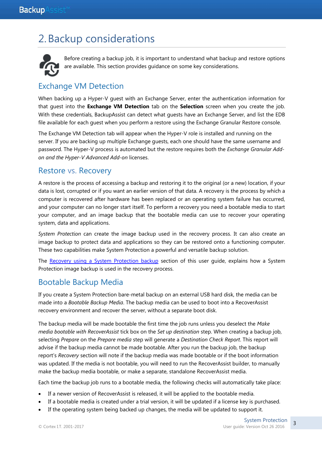## 2.Backup considerations



Before creating a backup job, it is important to understand what backup and restore options are available. This section provides guidance on some key considerations.

## Exchange VM Detection

When backing up a Hyper-V guest with an Exchange Server, enter the authentication information for that guest into the **Exchange VM Detection** tab on the **Selection** screen when you create the job. With these credentials, BackupAssist can detect what guests have an Exchange Server, and list the EDB file available for each guest when you perform a restore using the Exchange Granular Restore console.

The Exchange VM Detection tab will appear when the Hyper-V role is installed and running on the server. If you are backing up multiple Exchange guests, each one should have the same username and password. The Hyper-V process is automated but the restore requires both the *Exchange Granular Addon and the Hyper-V Advanced Add-on* licenses.

## Restore vs. Recovery

A restore is the process of accessing a backup and restoring it to the original (or a new) location, if your data is lost, corrupted or if you want an earlier version of that data. A recovery is the process by which a computer is recovered after hardware has been replaced or an operating system failure has occurred, and your computer can no longer start itself. To perform a recovery you need a bootable media to start your computer, and an image backup that the bootable media can use to recover your operating system, data and applications.

*System Protection* can create the image backup used in the recovery process. It can also create an image backup to protect data and applications so they can be restored onto a functioning computer. These two capabilities make System Protection a powerful and versatile backup solution.

The [Recovery using a System Protection backup](#page-15-0) section of this user quide, explains how a System Protection image backup is used in the recovery process.

## Bootable Backup Media

If you create a System Protection bare-metal backup on an external USB hard disk, the media can be made into a *Bootable Backup Media*. The backup media can be used to boot into a RecoverAssist recovery environment and recover the server, without a separate boot disk.

The backup media will be made bootable the first time the job runs unless you deselect the *Make media bootable with RecoverAssist* tick box on the *Set up destination* step. When creating a backup job, selecting *Prepare* on the *Prepare media* step will generate a *Destination Check Report*. This report will advise if the backup media cannot be made bootable. After you run the backup job, the backup report's *Recovery* section will note if the backup media was made bootable or if the boot information was updated. If the media is not bootable, you will need to run the RecoverAssist builder, to manually make the backup media bootable, or make a separate, standalone RecoverAssist media.

Each time the backup job runs to a bootable media, the following checks will automatically take place:

- If a newer version of RecoverAssist is released, it will be applied to the bootable media.
- If a bootable media is created under a trial version, it will be updated if a license key is purchased.
- If the operating system being backed up changes, the media will be updated to support it.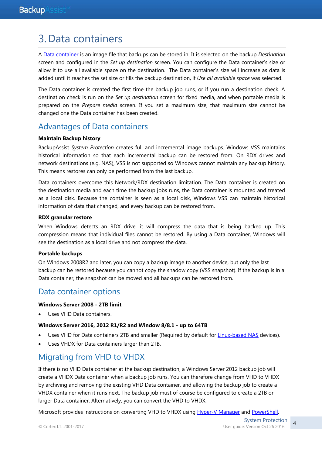## 3.Data containers

A [Data container](https://www.backupassist.com/education/resources/data_containers.html) is an image file that backups can be stored in. It is selected on the backup *Destination* screen and configured in the *Set up destination* screen. You can configure the Data container's size or allow it to use all available space on the destination. The Data container's size will increase as data is added until it reaches the set size or fills the backup destination, if *Use all available space* was selected.

The Data container is created the first time the backup job runs, or if you run a destination check. A destination check is run on the *Set up destination* screen for fixed media, and when portable media is prepared on the *Prepare media* screen. If you set a maximum size, that maximum size cannot be changed one the Data container has been created.

## Advantages of Data containers

#### **Maintain Backup history**

BackupAssist *System Protection* creates full and incremental image backups. Windows VSS maintains historical information so that each incremental backup can be restored from. On RDX drives and network destinations (e.g. NAS), VSS is not supported so Windows cannot maintain any backup history. This means restores can only be performed from the last backup.

Data containers overcome this Network/RDX destination limitation. The Data container is created on the destination media and each time the backup jobs runs, the Data container is mounted and treated as a local disk. Because the container is seen as a local disk, Windows VSS can maintain historical information of data that changed, and every backup can be restored from.

#### **RDX granular restore**

When Windows detects an RDX drive, it will compress the data that is being backed up. This compression means that individual files cannot be restored. By using a Data container, Windows will see the destination as a local drive and not compress the data.

#### **Portable backups**

On Windows 2008R2 and later, you can copy a backup image to another device, but only the last backup can be restored because you cannot copy the shadow copy (VSS snapshot). If the backup is in a Data container, the snapshot can be moved and all backups can be restored from.

## Data container options

#### **Windows Server 2008 - 2TB limit**

Uses VHD Data containers.

#### **Windows Server 2016, 2012 R1/R2 and Window 8/8.1 - up to 64TB**

- Uses VHD for Data containers 2TB and smaller (Required by default for [Linux-based NAS](http://www.backupassist.com/education/resources/sparse_file_system_compatability.html) devices).
- Uses VHDX for Data containers larger than 2TB.

## Migrating from VHD to VHDX

If there is no VHD Data container at the backup destination, a Windows Server 2012 backup job will create a VHDX Data container when a backup job runs. You can therefore change from VHD to VHDX by archiving and removing the existing VHD Data container, and allowing the backup job to create a VHDX container when it runs next. The backup job must of course be configured to create a 2TB or larger Data container. Alternatively, you can convert the VHD to VHDX.

Microsoft provides instructions on converting VHD to VHDX using [Hyper-V Manager](http://blogs.msdn.com/b/virtual_pc_guy/archive/2012/10/02/converting-a-vhd-to-a-vhdx.aspx) and [PowerShell.](http://blogs.msdn.com/b/virtual_pc_guy/archive/2012/10/03/using-powershell-to-convert-a-vhd-to-a-vhdx.aspx)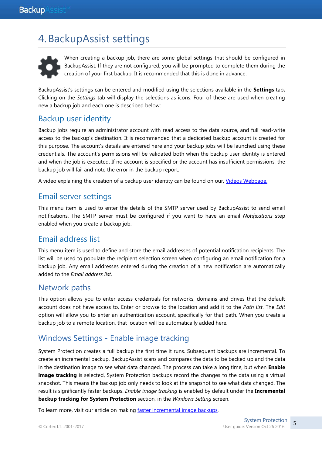## 4.BackupAssist settings



When creating a backup job, there are some global settings that should be configured in BackupAssist. If they are not configured, you will be prompted to complete them during the creation of your first backup. It is recommended that this is done in advance.

BackupAssist's settings can be entered and modified using the selections available in the **Settings** tab**.**  Clicking on the *Settings* tab will display the selections as icons. Four of these are used when creating new a backup job and each one is described below:

## Backup user identity

Backup jobs require an administrator account with read access to the data source, and full read-write access to the backup's destination. It is recommended that a dedicated backup account is created for this purpose. The account's details are entered here and your backup jobs will be launched using these credentials. The account's permissions will be validated both when the backup user identity is entered and when the job is executed. If no account is specified or the account has insufficient permissions, the backup job will fail and note the error in the backup report.

A video explaining the creation of a backup user identity can be found on our, [Videos Webpage.](http://www.backupassist.com/education/videos.html)

### Email server settings

This menu item is used to enter the details of the SMTP server used by BackupAssist to send email notifications. The SMTP server must be configured if you want to have an email *Notifications* step enabled when you create a backup job.

## Email address list

This menu item is used to define and store the email addresses of potential notification recipients. The list will be used to populate the recipient selection screen when configuring an email notification for a backup job. Any email addresses entered during the creation of a new notification are automatically added to the *Email address list*.

### Network paths

This option allows you to enter access credentials for networks, domains and drives that the default account does not have access to. Enter or browse to the location and add it to the *Path list*. The *Edit* option will allow you to enter an authentication account, specifically for that path. When you create a backup job to a remote location, that location will be automatically added here.

## Windows Settings - Enable image tracking

System Protection creates a full backup the first time it runs. Subsequent backups are incremental. To create an incremental backup, BackupAssist scans and compares the data to be backed up and the data in the destination image to see what data changed. The process can take a long time, but when **Enable image tracking** is selected, System Protection backups record the changes to the data using a virtual snapshot. This means the backup job only needs to look at the snapshot to see what data changed. The result is significantly faster backups. *Enable image tracking* is enabled by default under the **Incremental backup tracking for System Protection** section, in the *Windows Setting* screen.

To learn more, visit our article on making [faster incremental image backups.](http://www.backupassist.com/blog/support/fast-incremental-backups-for-system-protection/)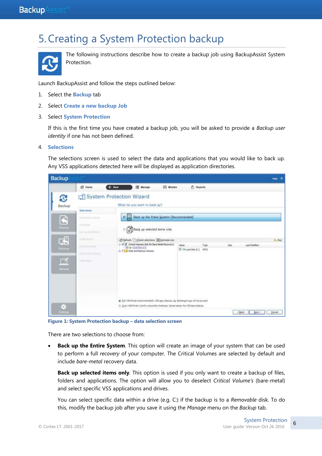## 5.Creating a System Protection backup



The following instructions describe how to create a backup job using BackupAssist System Protection.

Launch BackupAssist and follow the steps outlined below:

- 1. Select the **Backup** tab
- 2. Select **Create a new backup Job**
- 3. Select **System Protection**

If this is the first time you have created a backup job, you will be asked to provide a *Backup user identity* if one has not been defined.

4. **Selections**

The selections screen is used to select the data and applications that you would like to back up. Any VSS applications detected here will be displayed as application directories.

| Backup                                   |                                                              |                          |                                                                                                                            |           |                               |              |     |                                                | $\mathcal{P}$<br>Halp: |
|------------------------------------------|--------------------------------------------------------------|--------------------------|----------------------------------------------------------------------------------------------------------------------------|-----------|-------------------------------|--------------|-----|------------------------------------------------|------------------------|
|                                          | 您 Home                                                       | $+$ New                  | <b>Manager</b>                                                                                                             | EN Monner | <b>T</b> Reports              |              |     |                                                |                        |
| C<br>Backup                              |                                                              | System Protection Wizard | What do you want to back up?                                                                                               |           |                               |              |     |                                                |                        |
|                                          | Selections                                                   |                          |                                                                                                                            |           |                               |              |     |                                                |                        |
| E<br>listics                             | Cleatmatterments<br>Driverant<br>Telephone (1974)            | $0\frac{1}{2}$           | Back up the Entire System (Recommended)<br>Back up selected terrs only                                                     |           |                               |              |     |                                                |                        |
| C.                                       | Alexander Ave.                                               |                          | C Befresh   Check selections   Estimate size:                                                                              |           |                               |              |     |                                                | $0$ , Key              |
| <b>ILASHER</b><br>$\Box$<br><b>Hamms</b> | <b>CONTRACTOR</b><br><b>Name (must have not</b><br>THAT DIED |                          | - IF IT Critical Volumes (tick for Serie Metal Recovery)<br><b>Disk Location (CI)</b><br>(E)   1 / Data and Backup Volumes |           | Name<br>P This call Delk (C-3 | Type<br>NTES | Sze | Last Nodified                                  |                        |
|                                          |                                                              |                          | Eal VSS Mode (recommended). VSS app clearup, ep. Bicharge logo will be pruned.                                             |           |                               |              |     |                                                |                        |
| Ξ<br><b>Minut</b>                        |                                                              |                          | C: Copy VSS Mode. Use for secondary backups. Saves coace. No VSS app cleanup.                                              |           |                               |              |     | Next ><br><back< th=""><th>Cancel</th></back<> | Cancel                 |

**Figure 1: System Protection backup – data selection screen**

There are two selections to choose from:

 **Back up the Entire System**. This option will create an image of your system that can be used to perform a full *recovery* of your computer. The Critical Volumes are selected by default and include *bare-metal* recovery data.

**Back up selected items only**. This option is used if you only want to create a backup of files, folders and applications. The option will allow you to deselect *Critical Volume's* (bare-metal) and select specific VSS applications and drives.

You can select specific data within a drive (e.g. C:) if the backup is to a *Removable* disk. To do this, modify the backup job after you save it using the *Manage* menu on the *Backup* tab.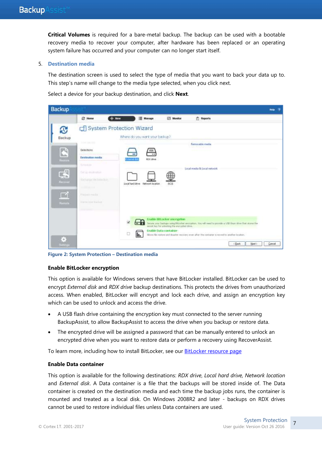**Critical Volumes** is required for a bare-metal backup. The backup can be used with a bootable recovery media to recover your computer, after hardware has been replaced or an operating system failure has occurred and your computer can no longer start itself.

#### 5. **Destination media**

The destination screen is used to select the type of media that you want to back your data up to. This step's name will change to the media type selected, when you click next.

Select a device for your backup destination, and click **Next**.



**Figure 2: System Protection – Destination media**

#### **Enable BitLocker encryption**

This option is available for Windows servers that have BitLocker installed. BitLocker can be used to encrypt *External disk* and *RDX drive* backup destinations. This protects the drives from unauthorized access. When enabled, BitLocker will encrypt and lock each drive, and assign an encryption key which can be used to unlock and access the drive.

- A USB flash drive containing the encryption key must connected to the server running BackupAssist, to allow BackupAssist to access the drive when you backup or restore data.
- The encrypted drive will be assigned a password that can be manually entered to unlock an encrypted drive when you want to restore data or perform a recovery using RecoverAssist.

To learn more, including how to install BitLocker, see our [BitLocker resource page](http://www.backupassist.com/education/resources/bitlocker-encryption.html)

#### **Enable Data container**

This option is available for the following destinations: *RDX drive*, *Local hard drive, Network location* and *External disk*. A Data container is a file that the backups will be stored inside of. The Data container is created on the destination media and each time the backup jobs runs, the container is mounted and treated as a local disk. On Windows 2008R2 and later - backups on RDX drives cannot be used to restore individual files unless Data containers are used.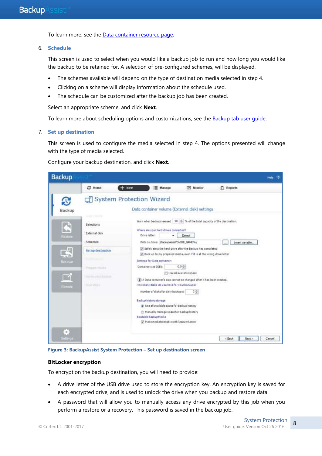To learn more, see the [Data container resource page.](http://www.backupassist.com/education/resources/data_containers.html)

6. **Schedule**

This screen is used to select when you would like a backup job to run and how long you would like the backup to be retained for. A selection of pre-configured schemes, will be displayed.

- The schemes available will depend on the type of destination media selected in step 4.
- Clicking on a scheme will display information about the schedule used.
- The schedule can be customized after the backup job has been created.

Select an appropriate scheme, and click **Next**.

To learn more about scheduling options and customizations, see the [Backup tab user guide.](http://www.backupassist.com/education/v9/backupassist/backup-tab-guide.html)

#### 7. **Set up destination**

This screen is used to configure the media selected in step 4. The options presented will change with the type of media selected.

|                                                                                                                                                                                                                  | Manage<br>New                                                                                                                                                                                                                                                                                                                                                                                                                                                                                                                                                                                                                                                                                                                                            | <b>ES</b> Monitor                                   | Reports          |
|------------------------------------------------------------------------------------------------------------------------------------------------------------------------------------------------------------------|----------------------------------------------------------------------------------------------------------------------------------------------------------------------------------------------------------------------------------------------------------------------------------------------------------------------------------------------------------------------------------------------------------------------------------------------------------------------------------------------------------------------------------------------------------------------------------------------------------------------------------------------------------------------------------------------------------------------------------------------------------|-----------------------------------------------------|------------------|
| Ą,<br>Backup                                                                                                                                                                                                     | System Protection Wizard<br>Data container volume (External disk) settings                                                                                                                                                                                                                                                                                                                                                                                                                                                                                                                                                                                                                                                                               |                                                     |                  |
| <b>Delit Insura</b><br>匹<br>Selections<br>External disk<br>Réstore<br>Schedule<br>螺<br>Set up destination<br>THE RESULT OF A<br>Recovar)<br>Prepare media<br>Name your Applicat<br><b>Flash stores</b><br>Remote | Warn when backups exceed   90   1 % of the total capacity of the destination.<br>Where are your hard drives connected?<br>Drive letter:<br>٠<br>Path on drive: 'BadsupAssist'(%30B_NAME%)<br>F Safely elect the hard drive after the backup has completed<br>If Back up to my prepared media, even if it is at the wrong drive letter<br>Settings for Data container:<br>Container size (GB):<br>(a) A Data container's size cannot be changed after it has been created.<br>How many disks do you have for your backups?<br>Number of disks for daily backups:<br>Backup history storage<br>ib Use all available space for backup history<br>Manually manage space for backup history<br>Soutable Backup Media<br>Make mediabootable with RecoverAssist | Detect:<br>$0.0 -$<br>Use all available space<br>2秒 | insert variable. |

Configure your backup destination, and click **Next**.

**Figure 3: BackupAssist System Protection – Set up destination screen**

#### **BitLocker encryption**

To encryption the backup destination, you will need to provide:

- A drive letter of the USB drive used to store the encryption key. An encryption key is saved for each encrypted drive, and is used to unlock the drive when you backup and restore data.
- A password that will allow you to manually access any drive encrypted by this job when you perform a restore or a recovery. This password is saved in the backup job.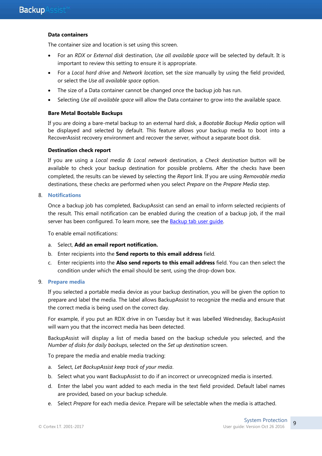#### **Data containers**

The container size and location is set using this screen.

- For an *RDX* or *External disk* destination, *Use all available space* will be selected by default. It is important to review this setting to ensure it is appropriate.
- For a *Local hard drive* and *Network location*, set the size manually by using the field provided, or select the *Use all available space* option.
- The size of a Data container cannot be changed once the backup job has run.
- Selecting *Use all available space* will allow the Data container to grow into the available space.

#### **Bare Metal Bootable Backups**

If you are doing a bare-metal backup to an external hard disk, a *Bootable Backup Media* option will be displayed and selected by default. This feature allows your backup media to boot into a RecoverAssist recovery environment and recover the server, without a separate boot disk.

#### **Destination check report**

If you are using a *Local media & Local network* destination, a *Check destination* button will be available to check your backup destination for possible problems. After the checks have been completed, the results can be viewed by selecting the *Report* link. If you are using *Removable media* destinations, these checks are performed when you select *Prepare* on the *Prepare Media* step.

#### 8. **Notifications**

Once a backup job has completed, BackupAssist can send an email to inform selected recipients of the result. This email notification can be enabled during the creation of a backup job, if the mail server has been configured. To learn more, see the **Backup tab user quide**.

To enable email notifications:

- a. Select, **Add an email report notification.**
- b. Enter recipients into the **Send reports to this email address** field.
- c. Enter recipients into the **Also send reports to this email address** field. You can then select the condition under which the email should be sent, using the drop-down box.

#### 9. **Prepare media**

If you selected a portable media device as your backup destination, you will be given the option to prepare and label the media. The label allows BackupAssist to recognize the media and ensure that the correct media is being used on the correct day.

For example, if you put an RDX drive in on Tuesday but it was labelled Wednesday, BackupAssist will warn you that the incorrect media has been detected.

BackupAssist will display a list of media based on the backup schedule you selected, and the *Number of disks for daily backups*, selected on the *Set up destination* screen.

To prepare the media and enable media tracking:

- a. Select, *Let BackupAssist keep track of your media*.
- b. Select what you want BackupAssist to do if an incorrect or unrecognized media is inserted.
- d. Enter the label you want added to each media in the text field provided. Default label names are provided, based on your backup schedule.
- e. Select *Prepare* for each media device. Prepare will be selectable when the media is attached.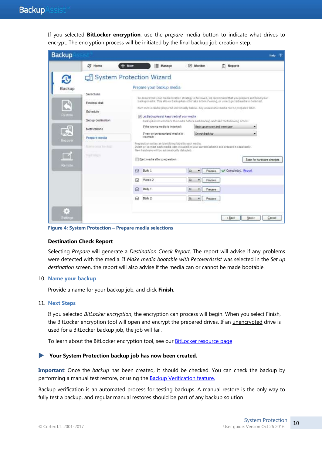If you selected **BitLocker encryption**, use the *prepare* media button to indicate what drives to encrypt. The encryption process will be initiated by the final backup job creation step.

| <b>Backup</b>                  |                                                                                                 |                          |                                                                                                                                                                                          |                                                                                     |                                                                                                                                                                                                                                                                                                           | <b>Haip</b>                         |
|--------------------------------|-------------------------------------------------------------------------------------------------|--------------------------|------------------------------------------------------------------------------------------------------------------------------------------------------------------------------------------|-------------------------------------------------------------------------------------|-----------------------------------------------------------------------------------------------------------------------------------------------------------------------------------------------------------------------------------------------------------------------------------------------------------|-------------------------------------|
|                                | <b>B</b> Home                                                                                   | $+$ New                  | Manage                                                                                                                                                                                   | <b>I/S</b> Monitor                                                                  | 雨<br>Reports                                                                                                                                                                                                                                                                                              |                                     |
| Backup<br><b>Ruston</b>        | Selections<br>External disk<br>Schedule                                                         | System Protection Wizard | Prepare your backup media<br>[iii] Let BackupApaist keep track of your media.                                                                                                            |                                                                                     | To ensure that your media nitation strategy is followed, we recommend that you prepare and labelyour<br>backup media. This allows BackupAssist to take action if wrong, or unrecognized media is detected.<br>Each media can be prepared individually below. Any unavailable media can be prepared later. |                                     |
| Recover                        | Set up destination<br>Notifications<br>Prepare media<br><b>Raidak Mour Bachup</b><br>Ford Mires |                          | If the wrong media is inserted:<br>If new or unrecognized media is<br>inserted:<br>Preparation wites an identifying label to each media.<br>New hardware will be automatically detected. | Do not beck up                                                                      | BackupAssist will check the media before each backup and take the following action:<br>Back up anyway and warn user.<br>Insert or connect each media item included in your current ocheme and prepare it separately.                                                                                      | $\overline{\phantom{a}}$            |
| Remute:<br>$\Theta$<br>Ssttmgs |                                                                                                 | ₿<br>₩<br>e<br>क़        | Eject media after preparation<br>Daly 1<br>Week 2<br>Daly 1<br>Daly 2                                                                                                                    | is.<br>Prepare<br>۰<br>谥<br>Prepare<br>۰<br>G.<br>Prepere<br>۰<br>店<br>Prepara<br>۰ | Completed, Report<br><back<br>Next &gt;</back<br>                                                                                                                                                                                                                                                         | Scan for hardware changes<br>Cancel |

**Figure 4: System Protection – Prepare media selections**

#### **Destination Check Report**

Selecting *Prepare* will generate a *Destination Check Report*. The report will advise if any problems were detected with the media. If *Make media bootable with RecoverAssist* was selected in the *Set up destination* screen, the report will also advise if the media can or cannot be made bootable.

#### 10. **Name your backup**

Provide a name for your backup job, and click **Finish**.

#### 11. **Next Steps**

If you selected *BitLocker encryption*, the encryption can process will begin. When you select Finish, the BitLocker encryption tool will open and encrypt the prepared drives. If an *unencrypted* drive is used for a BitLocker backup job, the job will fail.

To learn about the BitLocker encryption tool, see our **BitLocker resource page** 

#### **Your System Protection backup job has now been created.**

**Important**: Once the *backup* has been created, it should be checked. You can check the backup by performing a manual test restore, or using the **Backup Verification feature.** 

Backup verification is an automated process for testing backups. A manual restore is the only way to fully test a backup, and regular manual restores should be part of any backup solution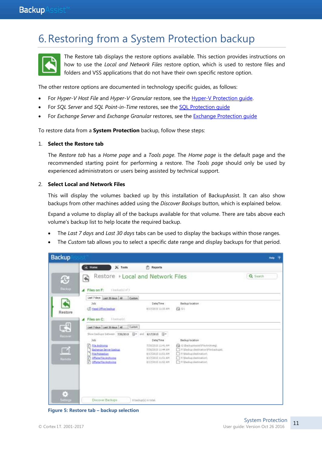## 6.Restoring from a System Protection backup



The Restore tab displays the restore options available. This section provides instructions on how to use the *Local and Network Files* restore option, which is used to restore files and folders and VSS applications that do not have their own specific restore option.

The other restore options are documented in technology specific guides, as follows:

- For *Hyper-V Host File* and *Hyper-V Granular* restore, see the [Hyper-V Protection guide.](http://www.backupassist.com/education/v9/backupassist/hyper-v-protection-guide.html)
- For *SQL Server* and *SQL Point-in-Time* restores, see the [SQL Protection guide](http://www.backupassist.com/education/v9/backupassist/sql-protection-guide.html)
- For *Exchange Server* and *Exchange Granular* restores, see the [Exchange Protection guide](http://www.backupassist.com/education/v9/backupassist/exchange-protection-guide.html)

To restore data from a **System Protection** backup, follow these steps:

#### 1. **Select the Restore tab**

The *Restore tab* has a *Home page* and a *Tools page*. The *Home page* is the default page and the recommended starting point for performing a restore. The *Tools page* should only be used by experienced administrators or users being assisted by technical support.

#### 2. **Select Local and Network Files**

This will display the volumes backed up by this installation of BackupAssist. It can also show backups from other machines added using the *Discover Backups* button, which is explained below.

Expand a volume to display all of the backups available for that volume. There are tabs above each volume's backup list to help locate the required backup.

- The *Last 7 days* and *Last 30 days* tabs can be used to display the backups within those ranges.
- The *Custom* tab allows you to select a specific date range and display backups for that period.



**Figure 5: Restore tab – backup selection**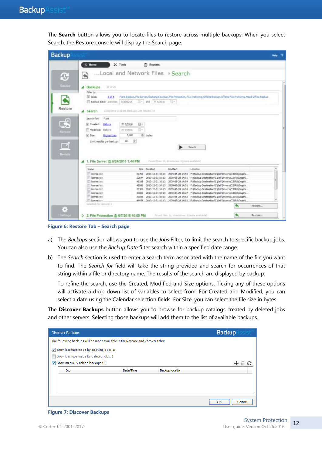The **Search** button allows you to locate files to restore across multiple backups. When you select Search, the Restore console will display the Search page.

|                                       |                                              |                                         |                                              |                                                                                                                                         |         | Help |
|---------------------------------------|----------------------------------------------|-----------------------------------------|----------------------------------------------|-----------------------------------------------------------------------------------------------------------------------------------------|---------|------|
| $\leq$ Home                           | $X$ Tools                                    | <b>FT</b> Reports                       |                                              |                                                                                                                                         |         |      |
| Local and Network Files > Search<br>大 |                                              |                                         |                                              |                                                                                                                                         |         |      |
| 29.4729<br><b>4</b> Backups           |                                              |                                         |                                              |                                                                                                                                         |         |      |
| Filter by                             |                                              |                                         |                                              |                                                                                                                                         |         |      |
| V John:<br>8 of #                     | Waldoss                                      | $\left\vert -\right\vert$ and 7/ 6/2016 | EH.                                          | Fiare backup, File Servar, Exchange backup, File Protection, File Archiving, Offsite Backup, Offsite File Archiving, Head Office backup |         |      |
| Backup data: batween                  |                                              |                                         |                                              |                                                                                                                                         |         |      |
| Search                                | Completed in 00:00. Backgoo with results: 10 |                                         |                                              |                                                                                                                                         |         |      |
| $+$ txt<br>Search for:                |                                              |                                         |                                              |                                                                                                                                         |         |      |
| [iii] Created:<br>Batory              | B.<br>7/ 7/2016                              |                                         |                                              |                                                                                                                                         |         |      |
| Madified: Before                      | ii -<br>7/ 7/2036                            |                                         |                                              |                                                                                                                                         |         |      |
|                                       |                                              |                                         |                                              |                                                                                                                                         |         |      |
| V Sze<br>Bigger than                  | 5,000                                        | + bytes                                 |                                              |                                                                                                                                         |         |      |
| Limit results per backup              | 樹<br>10 <sup>1</sup>                         |                                         |                                              |                                                                                                                                         |         |      |
|                                       |                                              |                                         |                                              | Search                                                                                                                                  |         |      |
|                                       |                                              |                                         |                                              |                                                                                                                                         |         |      |
|                                       |                                              |                                         |                                              |                                                                                                                                         |         |      |
|                                       |                                              |                                         |                                              |                                                                                                                                         |         |      |
| File Server @ 6/24/2016 1:44 PM       |                                              |                                         | Food Her 10, directories: Elimine available) |                                                                                                                                         |         |      |
| Name                                  |                                              | <b>Size Created</b>                     | <b>Nodified</b>                              | Location                                                                                                                                |         | ×    |
| IT lowres txt                         | 50700                                        | 2013-12-31 10:13                        |                                              | 2009-05-28 14:55 ft Backup Destination C/Dell'Onters'C/DR3/Graphi                                                                       |         |      |
| license.bit                           | 22644                                        | 2013-12-31 30:13                        |                                              | 2009-05-28 14:55 F/@adup Destination\C\Dell'Drivers\CJDR8\Graphi                                                                        |         |      |
| learne bit                            | 48296                                        |                                         |                                              | 2013-12-31 10:13 2009-05-28 14:54 F: Backup Destmation C (Def Drivers/C3DR8/Graphi                                                      |         |      |
| ilowned tut                           | 40996                                        | 2013-12-31 30:13                        |                                              | 2009-05-20 14:51 f: Beckup Destination C Del Dmiers C XX8 Graphi                                                                        |         |      |
| license, bit                          | 49306                                        | 2013-12-31 10:13                        |                                              | 2009-05-28 14:54 F:\Backup Destination\C\DeFDrivers\C3DR8\Graphi                                                                        |         |      |
| <sup>FT</sup> license, txt            | 33060                                        |                                         |                                              | 2013-12-31 10:13 2010-04-29 10:27 F: Backup Destination (C)DeF(Drivers)CJDR8/Graphi                                                     |         |      |
| license, bit                          | 35086                                        |                                         |                                              | 2013-12-31 10:13 2009-05-28 14:53 P: Backup Destination C/Dell'Drivers/C/DRS/Graphi                                                     |         |      |
| TI Sneow, txt.                        |                                              |                                         |                                              | 46976 2013-13-31 10:13 2009-05-28 14:51 F Wack in Destruction C VielDrivers/C DRAVGords                                                 |         |      |
| Selected For regions in               |                                              |                                         |                                              |                                                                                                                                         | Restore |      |
|                                       |                                              |                                         |                                              |                                                                                                                                         |         |      |

**Figure 6: Restore Tab – Search page**

- a) The *Backups* section allows you to use the *Jobs* Filter, to limit the search to specific backup jobs. You can also use the *Backup Date* filter search within a specified date range.
- b) The *Search* section is used to enter a search term associated with the name of the file you want to find. The *Search for* field will take the string provided and search for occurrences of that string within a file or directory name. The results of the search are displayed by backup.

To refine the search, use the Created, Modified and Size options. Ticking any of these options will activate a drop down list of variables to select from. For Created and Modified, you can select a date using the Calendar selection fields. For Size, you can select the file size in bytes.

The **Discover Backups** button allows you to browse for backup catalogs created by deleted jobs and other servers. Selecting those backups will add them to the list of available backups.

| <b>Discover Backups</b>                                                       |           |                        | <b>Backup</b> |
|-------------------------------------------------------------------------------|-----------|------------------------|---------------|
| The following backups will be made available in the Restore and Recover tabs: |           |                        |               |
| Show backups made by existing jobs: 13                                        |           |                        |               |
| Show backups made by deleted jobs: 1                                          |           |                        |               |
| Show manually added backups: 0                                                |           |                        |               |
| Job                                                                           | Date/Time | <b>Backup location</b> |               |
|                                                                               |           |                        |               |
|                                                                               |           |                        |               |
|                                                                               |           |                        |               |
|                                                                               |           |                        |               |
|                                                                               |           |                        | OK<br>Cancel  |

#### **Figure 7: Discover Backups**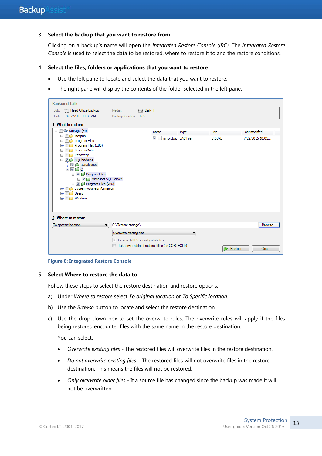#### 3. **Select the backup that you want to restore from**

Clicking on a backup's name will open the *Integrated Restore Console (IRC)*. The *Integrated Restore*  Console is used to select the data to be restored, where to restore it to and the restore conditions.

#### 4. **Select the files, folders or applications that you want to restore**

- Use the left pane to locate and select the data that you want to restore.
- The right pane will display the contents of the folder selected in the left pane.

| <b>Backup details</b><br>Job: II Head Office backup<br>Date: 8/17/2015 11:33 AM<br>1. What to restore                                                                                                                                                                                                                                                                                                         | A Daily 1<br>Media:<br>Backup location: G:\                                                                                                       |                                                     |             |                        |                                  |
|---------------------------------------------------------------------------------------------------------------------------------------------------------------------------------------------------------------------------------------------------------------------------------------------------------------------------------------------------------------------------------------------------------------|---------------------------------------------------------------------------------------------------------------------------------------------------|-----------------------------------------------------|-------------|------------------------|----------------------------------|
| □ Storage (F:)<br>$\Box$ inetpub<br>÷-<br>Program Files<br>田<br>Program Files (x86)<br>田<br>ProgramData<br>$+$<br><b>Recovery</b><br>田<br><b>E</b> <sup>-</sup> <i>V C</i> <sup>1</sup> SQL backups<br>$\Box$ $\Box$ catalogues<br>ė ⊽d c<br><b>E-V</b> Program Files<br><b>E</b> Microsoft SQL Server<br>E Program Files (x86)<br>System Volume Information<br>Ėŀ<br>Users<br>$\overline{+}$<br>Windows<br>田 |                                                                                                                                                   | Name<br>$\blacktriangledown$<br>mirror.bac BAC File | <b>Type</b> | <b>Size</b><br>8.63 kB | Last modified<br>7/22/2015 10:01 |
| 2. Where to restore<br>To specific location<br>۰.                                                                                                                                                                                                                                                                                                                                                             | C:\Restore storage\<br>Overwrite existing files<br>$\sqrt{ }$ Restore NTFS security attributes<br>Take ownership of restored files (as CORTEXITr) |                                                     | ▼           | Restore                | Browse<br>Close                  |

**Figure 8: Integrated Restore Console**

#### 5. **Select Where to restore the data to**

Follow these steps to select the restore destination and restore options:

- a) Under *Where to restore* select *To original location* or *To Specific location*.
- b) Use the *Browse* button to locate and select the restore destination.
- c) Use the drop down box to set the overwrite rules. The overwrite rules will apply if the files being restored encounter files with the same name in the restore destination.

You can select:

- *Overwrite existing files* The restored files will overwrite files in the restore destination.
- *Do not overwrite existing files* The restored files will not overwrite files in the restore destination. This means the files will not be restored.
- *Only overwrite older files* If a source file has changed since the backup was made it will not be overwritten.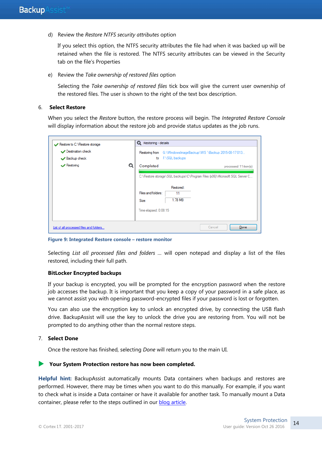d) Review the *Restore NTFS security attributes* option

If you select this option, the NTFS security attributes the file had when it was backed up will be retained when the file is restored. The NTFS security attributes can be viewed in the Security tab on the file's Properties

e) Review the *Take ownership of restored files* option

Selecting the *Take ownership of restored files* tick box will give the current user ownership of the restored files. The user is shown to the right of the text box description.

#### 6. **Select Restore**

When you select the *Restore* button, the restore process will begin. The *Integrated Restore Console*  will display information about the restore job and provide status updates as the job runs.

| Restore to C:\Restore storage<br>Destination check<br>Backup check |   | <b>Q</b> Restoring - details<br>to                                | Restoring from G:\WindowsImageBackup\WS-\Backup 2015-08-17 013<br>F:\SQL backups |        |                                                                                                     |
|--------------------------------------------------------------------|---|-------------------------------------------------------------------|----------------------------------------------------------------------------------|--------|-----------------------------------------------------------------------------------------------------|
| $\vee$ Restoring                                                   | Q | Completed<br>Files and folders:<br>Size:<br>Time elapsed: 0:00:15 | Restored:<br>11<br>1.78 MB                                                       |        | processed 11 item(s)<br>C:\Restore storage\SQL backups\C\Program Files (x86)\Microsoft SQL Server C |
| List of all processed files and folders                            |   |                                                                   |                                                                                  | Cancel | Done                                                                                                |

**Figure 9: Integrated Restore console – restore monitor**

Selecting *List all processed files and folders …* will open notepad and display a list of the files restored, including their full path.

#### **BitLocker Encrypted backups**

If your backup is encrypted, you will be prompted for the encryption password when the restore job accesses the backup. It is important that you keep a copy of your password in a safe place, as we cannot assist you with opening password-encrypted files if your password is lost or forgotten.

You can also use the encryption key to unlock an encrypted drive, by connecting the USB flash drive. BackupAssist will use the key to unlock the drive you are restoring from. You will not be prompted to do anything other than the normal restore steps.

#### 7. **Select Done**

Once the restore has finished, selecting *Done* will return you to the main UI.

#### **Your System Protection restore has now been completed.**

**Helpful hint:** BackupAssist automatically mounts Data containers when backups and restores are performed. However, there may be times when you want to do this manually. For example, if you want to check what is inside a Data container or have it available for another task. To manually mount a Data container, please refer to the steps outlined in our [blog article.](http://www.backupassist.com/blog/support/how-to-manually-mount-a-data-container/#more-2372)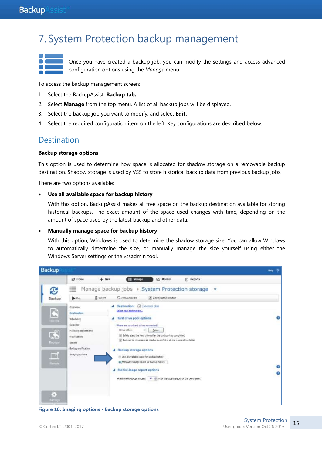## <span id="page-15-0"></span>7. System Protection backup management

Once you have created a backup job, you can modify the settings and access advanced configuration options using the *Manage* menu.

To access the backup management screen:

- 1. Select the BackupAssist, **Backup tab.**
- 2. Select **Manage** from the top menu. A list of all backup jobs will be displayed.
- 3. Select the backup job you want to modify, and select **Edit.**
- 4. Select the required configuration item on the left. Key configurations are described below.

### **Destination**

#### **Backup storage options**

This option is used to determine how space is allocated for shadow storage on a removable backup destination. Shadow storage is used by VSS to store historical backup data from previous backup jobs.

There are two options available:

#### **Use all available space for backup history**

With this option, BackupAssist makes all free space on the backup destination available for storing historical backups. The exact amount of the space used changes with time, depending on the amount of space used by the latest backup and other data.

#### **Manually manage space for backup history**

With this option, Windows is used to determine the shadow storage size. You can allow Windows to automatically determine the size, or manually manage the size yourself using either the Windows Server settings or the vssadmin tool.



**Figure 10: Imaging options - Backup storage options**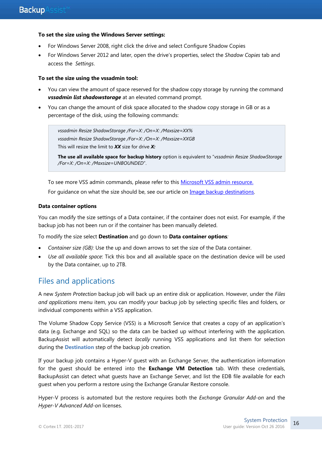#### **To set the size using the Windows Server settings:**

- For Windows Server 2008, right click the drive and select Configure Shadow Copies
- For Windows Server 2012 and later, open the drive's properties, select the *Shadow Copies* tab and access the *Settings*.

#### **To set the size using the vssadmin tool:**

- You can view the amount of space reserved for the shadow copy storage by running the command *vssadmin list shadowstorage* at an elevated command prompt.
- You can change the amount of disk space allocated to the shadow copy storage in GB or as a percentage of the disk, using the following commands:

*vssadmin Resize ShadowStorage /For=X: /On=X: /Maxsize=XX% vssadmin Resize ShadowStorage /For=X: /On=X: /Maxsize=XXGB* This will resize the limit to *XX* size for drive *X:*

**The use all available space for backup history** option is equivalent to "*vssadmin Resize ShadowStorage /For=X: /On=X: /Maxsize=UNBOUNDED*".

To see more VSS admin commands, please refer to this **Microsoft VSS admin resource**. For quidance on what the size should be, see our article on [Image backup destinations.](http://www.backupassist.com/blog/support/image-backup-destination-selection/)

#### **Data container options**

You can modify the size settings of a Data container, if the container does not exist. For example, if the backup job has not been run or if the container has been manually deleted.

To modify the size select **Destination** and go down to **Data container options***:*

- *Container size (GB):* Use the up and down arrows to set the size of the Data container.
- *Use all available space*: Tick this box and all available space on the destination device will be used by the Data container, up to 2TB.

### Files and applications

A new *System Protection* backup job will back up an entire disk or application. However, under the *Files and applications* menu item, you can modify your backup job by selecting specific files and folders, or individual components within a VSS application.

The Volume Shadow Copy Service (VSS) is a Microsoft Service that creates a copy of an application's data (e.g. Exchange and SQL) so the data can be backed up without interfering with the application. BackupAssist will automatically detect *locally* running VSS applications and list them for selection during the **Destination** step of the backup job creation.

If your backup job contains a Hyper-V guest with an Exchange Server, the authentication information for the guest should be entered into the **Exchange VM Detection** tab. With these credentials, BackupAssist can detect what guests have an Exchange Server, and list the EDB file available for each guest when you perform a restore using the Exchange Granular Restore console.

Hyper-V process is automated but the restore requires both the *Exchange Granular Add-on* and the *Hyper-V Advanced Add-on* licenses.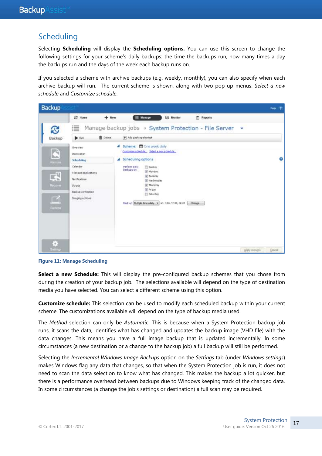### **Scheduling**

Selecting **Scheduling** will display the **Scheduling options.** You can use this screen to change the following settings for your scheme's daily backups: the time the backups run, how many times a day the backups run and the days of the week each backup runs on.

If you selected a scheme with archive backups (e.g. weekly, monthly), you can also specify when each archive backup will run. The current scheme is shown, along with two pop-up menus: *Select a new schedule* and *Customize schedule*.



**Figure 11: Manage Scheduling**

**Select a new Schedule:** This will display the pre-configured backup schemes that you chose from during the creation of your backup job. The selections available will depend on the type of destination media you have selected. You can select a different scheme using this option.

**Customize schedule:** This selection can be used to modify each scheduled backup within your current scheme. The customizations available will depend on the type of backup media used.

The *Method* selection can only be *Automatic*. This is because when a System Protection backup job runs, it scans the data, identifies what has changed and updates the backup image (VHD file) with the data changes. This means you have a full image backup that is updated incrementally. In some circumstances (a new destination or a change to the backup job) a full backup will still be performed.

Selecting the *Incremental Windows Image Backups* option on the *Settings* tab (under *Windows settings*) makes Windows flag any data that changes, so that when the System Protection job is run, it does not need to scan the data selection to know what has changed. This makes the backup a lot quicker, but there is a performance overhead between backups due to Windows keeping track of the changed data. In some circumstances (a change the job's settings or destination) a full scan may be required.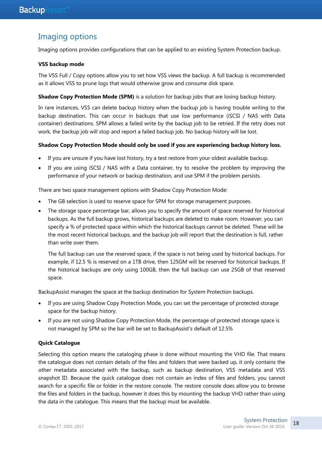## Imaging options

Imaging options provides configurations that can be applied to an existing System Protection backup.

#### **VSS backup mode**

The VSS Full / Copy options allow you to set how VSS views the backup. A full backup is recommended as it allows VSS to prune logs that would otherwise grow and consume disk space.

**Shadow Copy Protection Mode (SPM)** is a solution for backup jobs that are losing backup history.

In rare instances, VSS can delete backup history when the backup job is having trouble writing to the backup destination. This can occur in backups that use low performance (iSCSI / NAS with Data container) destinations. SPM allows a failed write by the backup job to be retried. If the retry does not work, the backup job will stop and report a failed backup job. No backup history will be lost.

#### **Shadow Copy Protection Mode should only be used if you are experiencing backup history loss.**

- If you are unsure if you have lost history, try a test restore from your oldest available backup.
- If you are using iSCSI / NAS with a Data container, try to resolve the problem by improving the performance of your network or backup destination, and use SPM if the problem persists.

There are two space management options with Shadow Copy Protection Mode:

- The GB selection is used to reserve space for SPM for storage management purposes.
- The storage space percentage bar, allows you to specify the amount of space reserved for historical backups. As the full backup grows, historical backups are deleted to make room. However, you can specify a % of protected space within which the historical backups cannot be deleted. These will be the most recent historical backups, and the backup job will report that the destination is full, rather than write over them.

The full backup can use the reserved space, if the space is not being used by historical backups. For example, if 12.5 % is reserved on a 1TB drive, then 125GM will be reserved for historical backups. If the historical backups are only using 100GB, then the full backup can use 25GB of that reserved space.

BackupAssist manages the space at the backup destination for System Protection backups.

- If you are using Shadow Copy Protection Mode, you can set the percentage of protected storage space for the backup history.
- If you are not using Shadow Copy Protection Mode, the percentage of protected storage space is not managed by SPM so the bar will be set to BackupAssist's default of 12.5%

#### **Quick Catalogue**

Selecting this option means the cataloging phase is done without mounting the VHD file. That means the catalogue does not contain details of the files and folders that were backed up, it only contains the other metadata associated with the backup, such as backup destination, VSS metadata and VSS snapshot ID. Because the quick catalogue does not contain an index of files and folders, you cannot search for a specific file or folder in the restore console. The restore console does allow you to browse the files and folders in the backup, however it does this by mounting the backup VHD rather than using the data in the catalogue. This means that the backup must be available.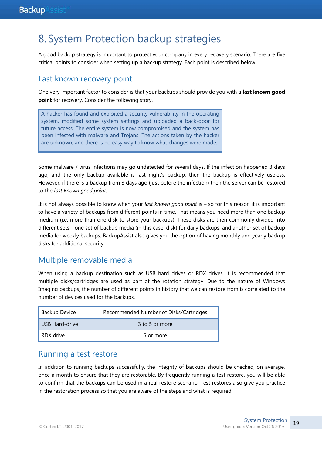## 8. System Protection backup strategies

A good backup strategy is important to protect your company in every recovery scenario. There are five critical points to consider when setting up a backup strategy. Each point is described below.

### Last known recovery point

One very important factor to consider is that your backups should provide you with a **last known good point** for recovery. Consider the following story.

A hacker has found and exploited a security vulnerability in the operating system, modified some system settings and uploaded a back-door for future access. The entire system is now compromised and the system has been infested with malware and Trojans. The actions taken by the hacker are unknown, and there is no easy way to know what changes were made.

Some malware / virus infections may go undetected for several days. If the infection happened 3 days ago, and the only backup available is last night's backup, then the backup is effectively useless. However, if there is a backup from 3 days ago (just before the infection) then the server can be restored to the *last known good point*.

It is not always possible to know when your *last known good point* is – so for this reason it is important to have a variety of backups from different points in time. That means you need more than one backup medium (i.e. more than one disk to store your backups). These disks are then commonly divided into different sets - one set of backup media (in this case, disk) for daily backups, and another set of backup media for weekly backups. BackupAssist also gives you the option of having monthly and yearly backup disks for additional security.

### Multiple removable media

When using a backup destination such as USB hard drives or RDX drives, it is recommended that multiple disks/cartridges are used as part of the rotation strategy. Due to the nature of Windows Imaging backups, the number of different points in history that we can restore from is correlated to the number of devices used for the backups.

| <b>Backup Device</b> | Recommended Number of Disks/Cartridges |
|----------------------|----------------------------------------|
| USB Hard-drive       | 3 to 5 or more                         |
| RDX drive            | 5 or more                              |

### Running a test restore

In addition to running backups successfully, the integrity of backups should be checked, on average, once a month to ensure that they are restorable. By frequently running a test restore, you will be able to confirm that the backups can be used in a real restore scenario. Test restores also give you practice in the restoration process so that you are aware of the steps and what is required.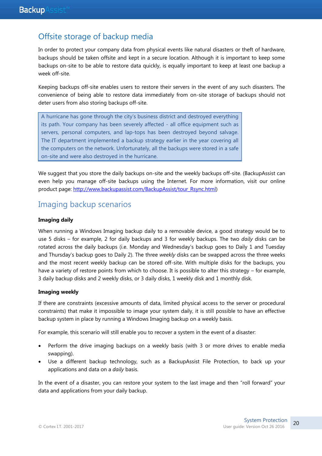## Offsite storage of backup media

In order to protect your company data from physical events like natural disasters or theft of hardware, backups should be taken offsite and kept in a secure location. Although it is important to keep some backups on-site to be able to restore data quickly, is equally important to keep at least one backup a week off-site.

Keeping backups off-site enables users to restore their servers in the event of any such disasters. The convenience of being able to restore data immediately from on-site storage of backups should not deter users from also storing backups off-site.

A hurricane has gone through the city's business district and destroyed everything its path. Your company has been severely affected - all office equipment such as servers, personal computers, and lap-tops has been destroyed beyond salvage. The IT department implemented a backup strategy earlier in the year covering all the computers on the network. Unfortunately, all the backups were stored in a safe on-site and were also destroyed in the hurricane.

We suggest that you store the daily backups on-site and the weekly backups off-site. (BackupAssist can even help you manage off-site backups using the Internet. For more information, visit our online product page: [http://www.backupassist.com/BackupAssist/tour\\_Rsync.html\)](http://www.backupassist.com/BackupAssist/tour_Rsync.html)

## Imaging backup scenarios

#### **Imaging daily**

When running a Windows Imaging backup daily to a removable device, a good strategy would be to use 5 disks – for example, 2 for daily backups and 3 for weekly backups. The two *daily* disks can be rotated across the daily backups (i.e. Monday and Wednesday's backup goes to Daily 1 and Tuesday and Thursday's backup goes to Daily 2). The three *weekly* disks can be swapped across the three weeks and the most recent weekly backup can be stored off-site. With multiple disks for the backups, you have a variety of restore points from which to choose. It is possible to alter this strategy – for example, 3 daily backup disks and 2 weekly disks, or 3 daily disks, 1 weekly disk and 1 monthly disk.

#### **Imaging weekly**

If there are constraints (excessive amounts of data, limited physical access to the server or procedural constraints) that make it impossible to image your system daily, it is still possible to have an effective backup system in place by running a Windows Imaging backup on a weekly basis.

For example, this scenario will still enable you to recover a system in the event of a disaster:

- Perform the drive imaging backups on a weekly basis (with 3 or more drives to enable media swapping).
- Use a different backup technology, such as a BackupAssist File Protection, to back up your applications and data on a *daily* basis.

In the event of a disaster, you can restore your system to the last image and then "roll forward" your data and applications from your daily backup.